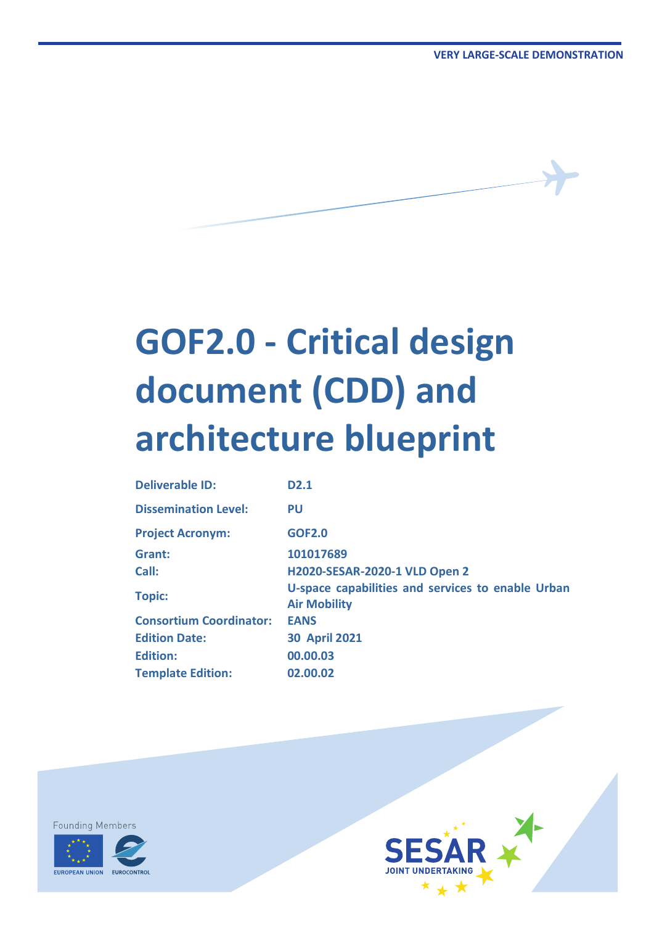# **GOF2.0 - Critical design document (CDD) and architecture blueprint**

| <b>Deliverable ID:</b>         | D <sub>2.1</sub>                                                         |
|--------------------------------|--------------------------------------------------------------------------|
| <b>Dissemination Level:</b>    | <b>PU</b>                                                                |
| <b>Project Acronym:</b>        | <b>GOF2.0</b>                                                            |
| Grant:                         | 101017689                                                                |
| Call:                          | H2020-SESAR-2020-1 VLD Open 2                                            |
| <b>Topic:</b>                  | U-space capabilities and services to enable Urban<br><b>Air Mobility</b> |
| <b>Consortium Coordinator:</b> | <b>EANS</b>                                                              |
| <b>Edition Date:</b>           | <b>30 April 2021</b>                                                     |
| <b>Edition:</b>                | 00.00.03                                                                 |
| <b>Template Edition:</b>       | 02.00.02                                                                 |

**Founding Members** 



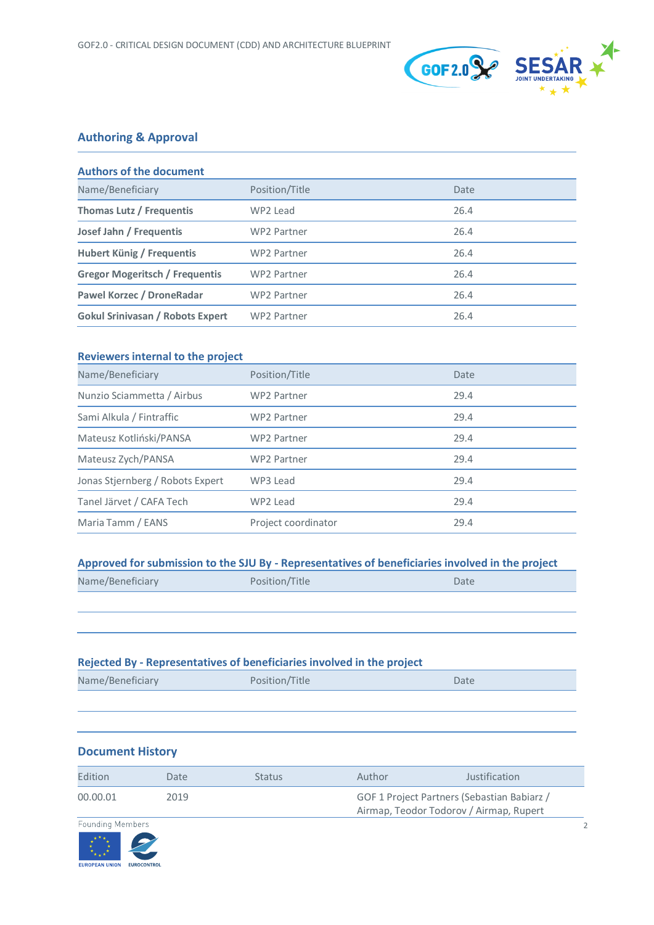

#### **Authoring & Approval**

| <b>Authors of the document</b>          |                    |      |
|-----------------------------------------|--------------------|------|
| Name/Beneficiary                        | Position/Title     | Date |
| Thomas Lutz / Frequentis                | WP2 Lead           | 26.4 |
| Josef Jahn / Frequentis                 | <b>WP2 Partner</b> | 26.4 |
| <b>Hubert Künig / Frequentis</b>        | <b>WP2 Partner</b> | 26.4 |
| <b>Gregor Mogeritsch / Frequentis</b>   | <b>WP2 Partner</b> | 26.4 |
| Pawel Korzec / DroneRadar               | <b>WP2 Partner</b> | 26.4 |
| <b>Gokul Srinivasan / Robots Expert</b> | <b>WP2 Partner</b> | 26.4 |

#### **Reviewers internal to the project**

| Name/Beneficiary                 | Position/Title      | Date |
|----------------------------------|---------------------|------|
| Nunzio Sciammetta / Airbus       | <b>WP2 Partner</b>  | 29.4 |
| Sami Alkula / Fintraffic         | <b>WP2 Partner</b>  | 29.4 |
| Mateusz Kotliński/PANSA          | <b>WP2 Partner</b>  | 29.4 |
| Mateusz Zych/PANSA               | <b>WP2 Partner</b>  | 29.4 |
| Jonas Stjernberg / Robots Expert | WP3 Lead            | 29.4 |
| Tanel Järvet / CAFA Tech         | WP2 Lead            | 29.4 |
| Maria Tamm / EANS                | Project coordinator | 29.4 |

#### **Approved for submission to the SJU By - Representatives of beneficiaries involved in the project**

| Name/Beneficiary | Position/Title | Date |
|------------------|----------------|------|
|                  |                |      |

#### **Rejected By - Representatives of beneficiaries involved in the project**

| Name/Beneficiary | Position/Title | Date |
|------------------|----------------|------|
|                  |                |      |

#### **Document History**

| Edition  | Date | <b>Status</b> | Author                                      | Justification |
|----------|------|---------------|---------------------------------------------|---------------|
| 00.00.01 | 2019 |               | GOF 1 Project Partners (Sebastian Babiarz / |               |
|          |      |               | Airmap, Teodor Todorov / Airmap, Rupert     |               |



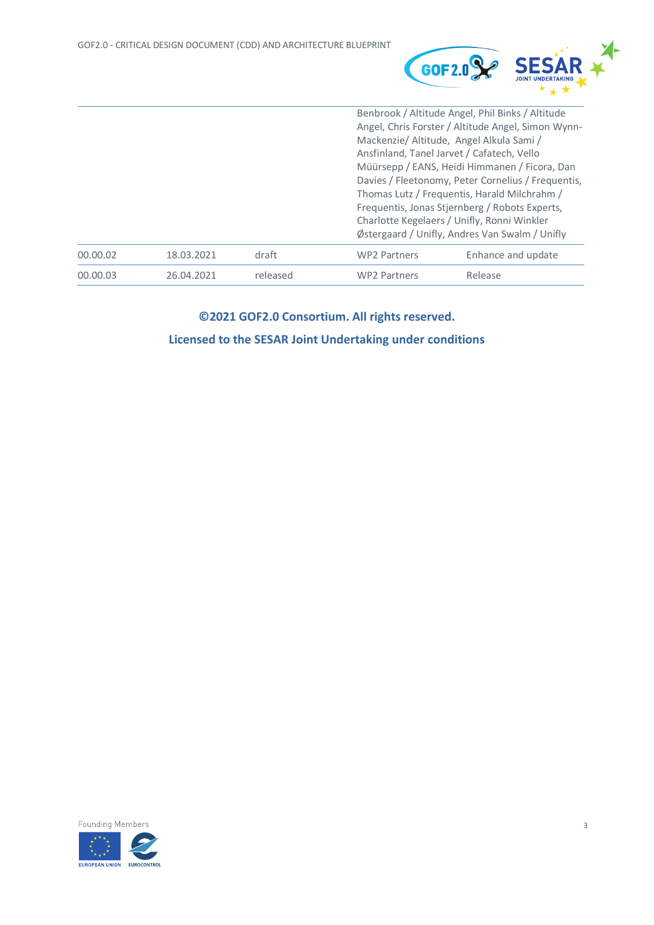

|          |            |          |                     | Benbrook / Altitude Angel, Phil Binks / Altitude<br>Angel, Chris Forster / Altitude Angel, Simon Wynn-<br>Mackenzie/ Altitude, Angel Alkula Sami /<br>Ansfinland, Tanel Jarvet / Cafatech, Vello<br>Müürsepp / EANS, Heidi Himmanen / Ficora, Dan<br>Davies / Fleetonomy, Peter Cornelius / Frequentis,<br>Thomas Lutz / Frequentis, Harald Milchrahm /<br>Frequentis, Jonas Stjernberg / Robots Experts,<br>Charlotte Kegelaers / Unifly, Ronni Winkler |
|----------|------------|----------|---------------------|----------------------------------------------------------------------------------------------------------------------------------------------------------------------------------------------------------------------------------------------------------------------------------------------------------------------------------------------------------------------------------------------------------------------------------------------------------|
|          |            |          |                     | Østergaard / Unifly, Andres Van Swalm / Unifly                                                                                                                                                                                                                                                                                                                                                                                                           |
| 00.00.02 | 18.03.2021 | draft    | <b>WP2 Partners</b> | Enhance and update                                                                                                                                                                                                                                                                                                                                                                                                                                       |
| 00.00.03 | 26.04.2021 | released | <b>WP2 Partners</b> | Release                                                                                                                                                                                                                                                                                                                                                                                                                                                  |

**©2021 GOF2.0 Consortium. All rights reserved.** 

**Licensed to the SESAR Joint Undertaking under conditions**

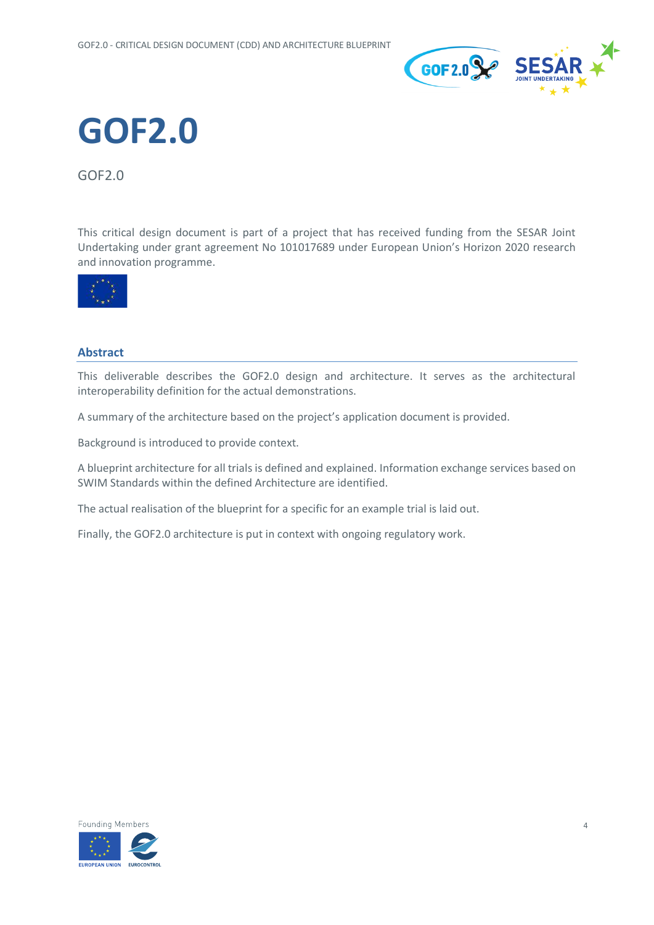



GOF2.0

This critical design document is part of a project that has received funding from the SESAR Joint Undertaking under grant agreement No 101017689 under European Union's Horizon 2020 research and innovation programme.



#### <span id="page-3-0"></span>**Abstract**

This deliverable describes the GOF2.0 design and architecture. It serves as the architectural interoperability definition for the actual demonstrations.

A summary of the architecture based on the project's application document is provided.

Background is introduced to provide context.

A blueprint architecture for all trials is defined and explained. Information exchange services based on SWIM Standards within the defined Architecture are identified.

The actual realisation of the blueprint for a specific for an example trial is laid out.

Finally, the GOF2.0 architecture is put in context with ongoing regulatory work.

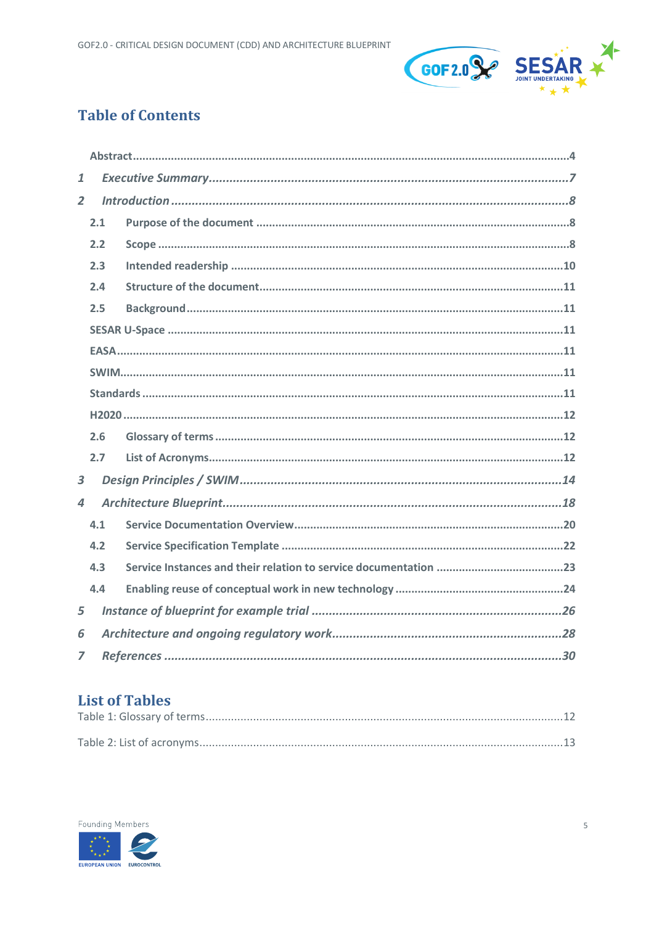

## **Table of Contents**

| $\mathbf{1}$   |     |  |
|----------------|-----|--|
| $\overline{2}$ |     |  |
|                | 2.1 |  |
|                | 2.2 |  |
|                | 2.3 |  |
|                | 2.4 |  |
|                | 2.5 |  |
|                |     |  |
|                |     |  |
|                |     |  |
|                |     |  |
|                |     |  |
|                | 2.6 |  |
|                | 2.7 |  |
| $\mathbf{3}$   |     |  |
| $\overline{a}$ |     |  |
|                | 4.1 |  |
|                | 4.2 |  |
|                | 4.3 |  |
|                | 4.4 |  |
| 5              |     |  |
| 6              |     |  |
| 7              |     |  |

## **List of Tables**

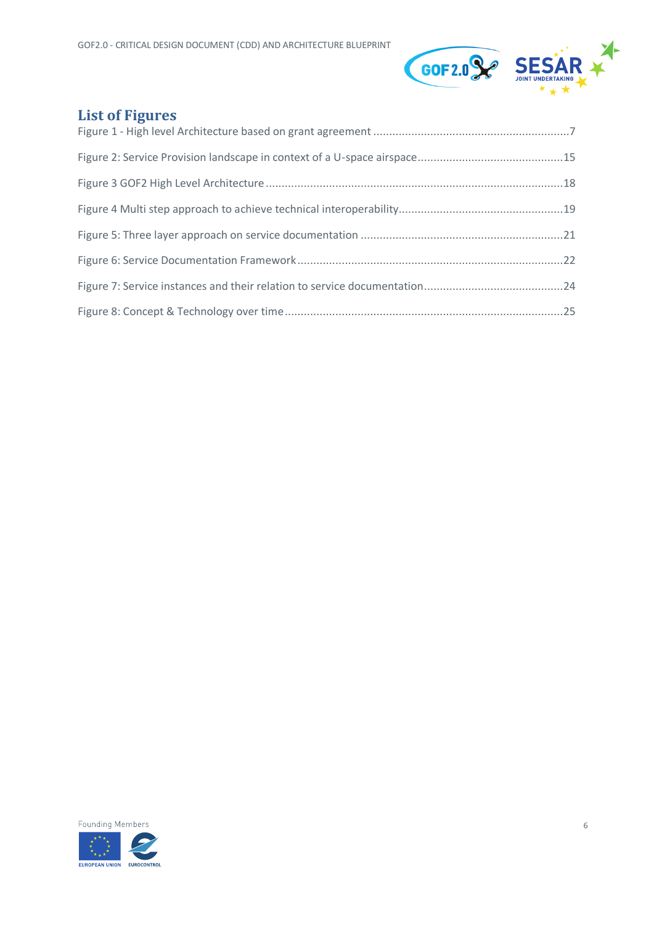

## **List of Figures**

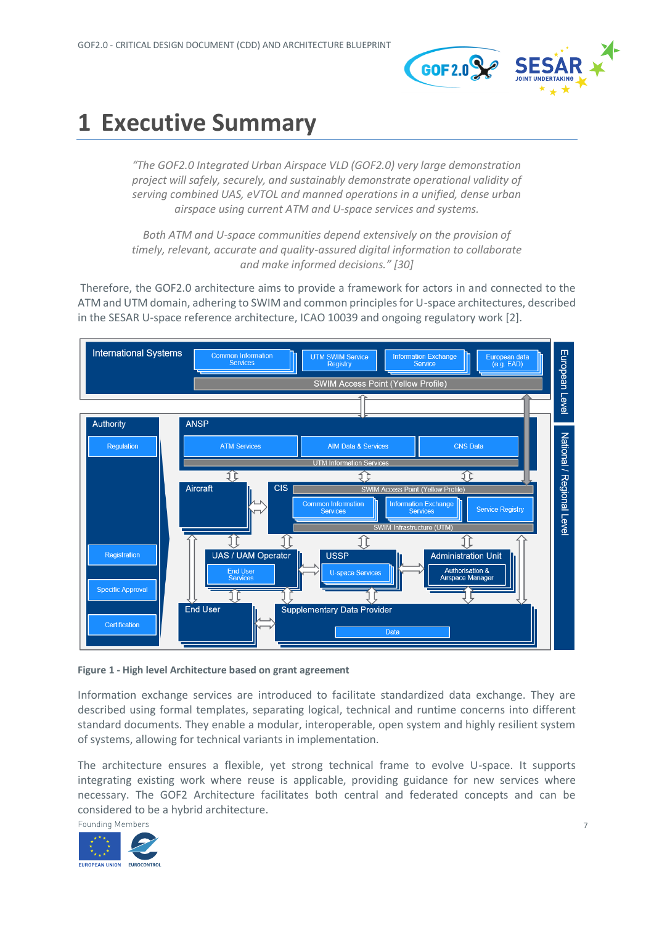

## <span id="page-6-0"></span>**1 Executive Summary**

*"The GOF2.0 Integrated Urban Airspace VLD (GOF2.0) very large demonstration project will safely, securely, and sustainably demonstrate operational validity of serving combined UAS, eVTOL and manned operations in a unified, dense urban airspace using current ATM and U-space services and systems.* 

*Both ATM and U-space communities depend extensively on the provision of timely, relevant, accurate and quality-assured digital information to collaborate and make informed decisions." [\[30\]](#page-29-1)*

Therefore, the GOF2.0 architecture aims to provide a framework for actors in and connected to the ATM and UTM domain, adhering to SWIM and common principles for U-space architectures, described in the SESAR U-space reference architecture, ICAO 10039 and ongoing regulatory work [\[2\].](#page-29-2)



<span id="page-6-1"></span>**Figure 1 - High level Architecture based on grant agreement**

Information exchange services are introduced to facilitate standardized data exchange. They are described using formal templates, separating logical, technical and runtime concerns into different standard documents. They enable a modular, interoperable, open system and highly resilient system of systems, allowing for technical variants in implementation.

The architecture ensures a flexible, yet strong technical frame to evolve U-space. It supports integrating existing work where reuse is applicable, providing guidance for new services where necessary. The GOF2 Architecture facilitates both central and federated concepts and can be considered to be a hybrid architecture.

**Founding Members** 

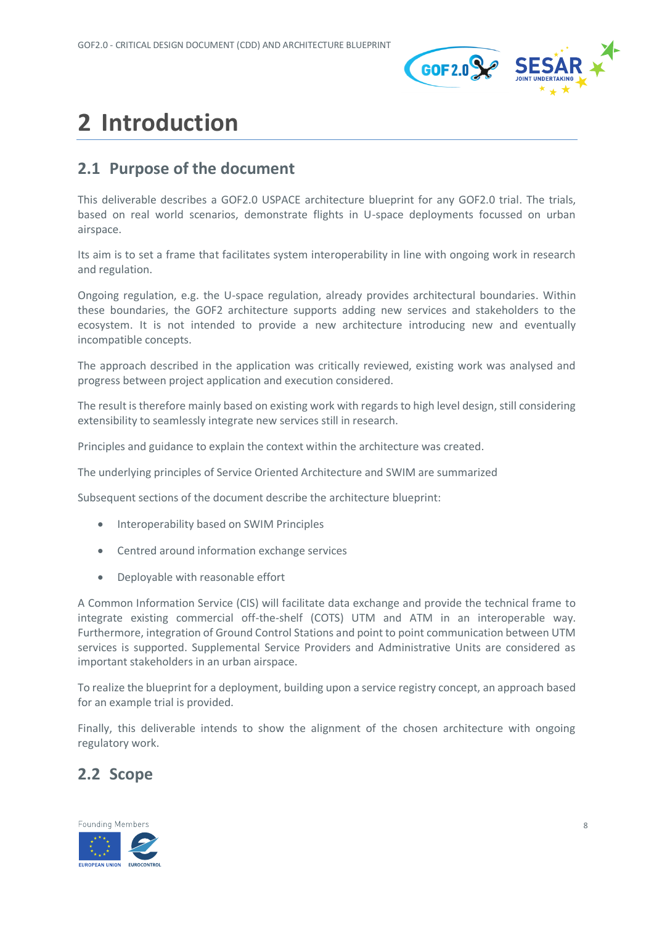

## <span id="page-7-0"></span>**2 Introduction**

### <span id="page-7-1"></span>**2.1 Purpose of the document**

This deliverable describes a GOF2.0 USPACE architecture blueprint for any GOF2.0 trial. The trials, based on real world scenarios, demonstrate flights in U-space deployments focussed on urban airspace.

Its aim is to set a frame that facilitates system interoperability in line with ongoing work in research and regulation.

Ongoing regulation, e.g. the U-space regulation, already provides architectural boundaries. Within these boundaries, the GOF2 architecture supports adding new services and stakeholders to the ecosystem. It is not intended to provide a new architecture introducing new and eventually incompatible concepts.

The approach described in the application was critically reviewed, existing work was analysed and progress between project application and execution considered.

The result is therefore mainly based on existing work with regards to high level design, still considering extensibility to seamlessly integrate new services still in research.

Principles and guidance to explain the context within the architecture was created.

The underlying principles of Service Oriented Architecture and SWIM are summarized

Subsequent sections of the document describe the architecture blueprint:

- Interoperability based on SWIM Principles
- Centred around information exchange services
- Deployable with reasonable effort

A Common Information Service (CIS) will facilitate data exchange and provide the technical frame to integrate existing commercial off-the-shelf (COTS) UTM and ATM in an interoperable way. Furthermore, integration of Ground Control Stations and point to point communication between UTM services is supported. Supplemental Service Providers and Administrative Units are considered as important stakeholders in an urban airspace.

To realize the blueprint for a deployment, building upon a service registry concept, an approach based for an example trial is provided.

Finally, this deliverable intends to show the alignment of the chosen architecture with ongoing regulatory work.

## <span id="page-7-2"></span>**2.2 Scope**

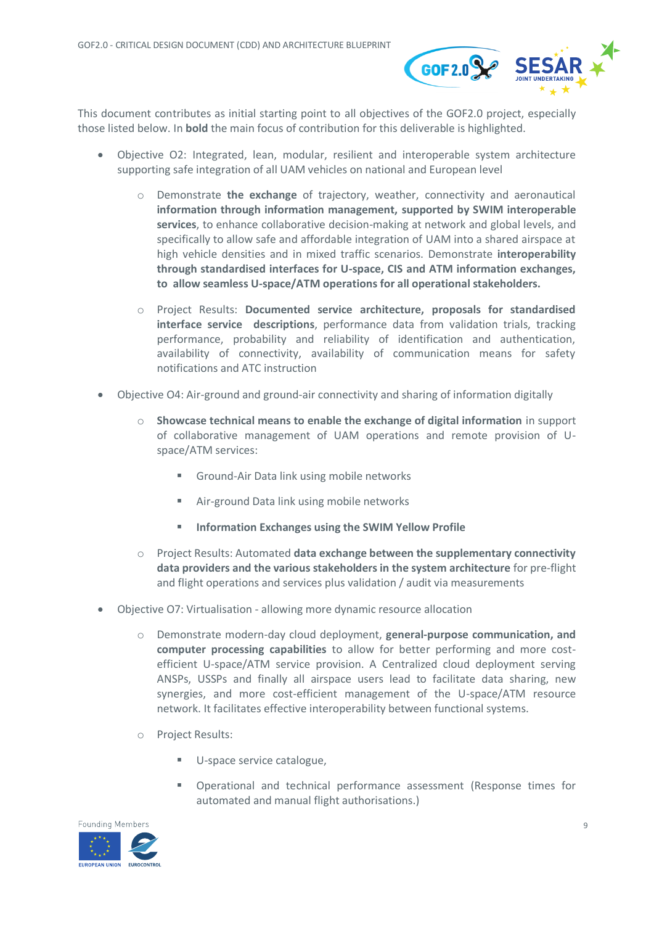

This document contributes as initial starting point to all objectives of the GOF2.0 project, especially those listed below. In **bold** the main focus of contribution for this deliverable is highlighted.

- Objective O2: Integrated, lean, modular, resilient and interoperable system architecture supporting safe integration of all UAM vehicles on national and European level
	- o Demonstrate **the exchange** of trajectory, weather, connectivity and aeronautical **information through information management, supported by SWIM interoperable services**, to enhance collaborative decision-making at network and global levels, and specifically to allow safe and affordable integration of UAM into a shared airspace at high vehicle densities and in mixed traffic scenarios. Demonstrate **interoperability through standardised interfaces for U-space, CIS and ATM information exchanges, to allow seamless U-space/ATM operations for all operational stakeholders.**
	- o Project Results: **Documented service architecture, proposals for standardised interface service descriptions**, performance data from validation trials, tracking performance, probability and reliability of identification and authentication, availability of connectivity, availability of communication means for safety notifications and ATC instruction
- Objective O4: Air-ground and ground-air connectivity and sharing of information digitally
	- o **Showcase technical means to enable the exchange of digital information** in support of collaborative management of UAM operations and remote provision of Uspace/ATM services:
		- Ground-Air Data link using mobile networks
		- Air-ground Data link using mobile networks
		- **Information Exchanges using the SWIM Yellow Profile**
	- o Project Results: Automated **data exchange between the supplementary connectivity data providers and the various stakeholders in the system architecture** for pre-flight and flight operations and services plus validation / audit via measurements
- Objective O7: Virtualisation allowing more dynamic resource allocation
	- o Demonstrate modern-day cloud deployment, **general-purpose communication, and computer processing capabilities** to allow for better performing and more costefficient U-space/ATM service provision. A Centralized cloud deployment serving ANSPs, USSPs and finally all airspace users lead to facilitate data sharing, new synergies, and more cost-efficient management of the U-space/ATM resource network. It facilitates effective interoperability between functional systems.
	- o Project Results:
		- U-space service catalogue,
		- Operational and technical performance assessment (Response times for automated and manual flight authorisations.)

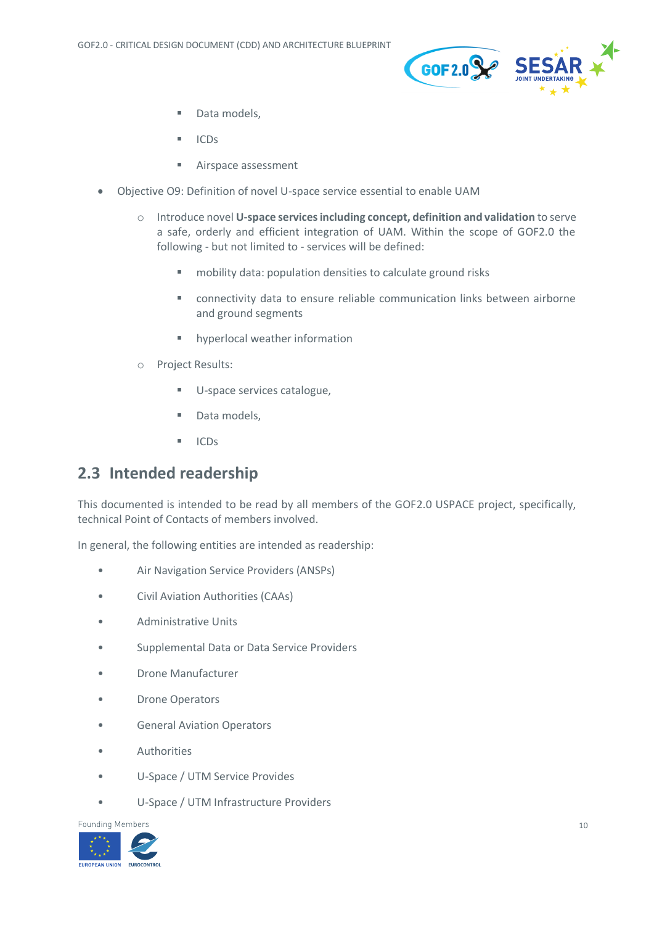

- Data models,
- **ICDs**
- Airspace assessment
- Objective O9: Definition of novel U-space service essential to enable UAM
	- o Introduce novel **U-space services including concept, definition and validation** to serve a safe, orderly and efficient integration of UAM. Within the scope of GOF2.0 the following - but not limited to - services will be defined:
		- mobility data: population densities to calculate ground risks
		- connectivity data to ensure reliable communication links between airborne and ground segments
		- hyperlocal weather information
	- o Project Results:
		- U-space services catalogue,
		- Data models.
		- ICDs

### <span id="page-9-0"></span>**2.3 Intended readership**

This documented is intended to be read by all members of the GOF2.0 USPACE project, specifically, technical Point of Contacts of members involved.

In general, the following entities are intended as readership:

- Air Navigation Service Providers (ANSPs)
- Civil Aviation Authorities (CAAs)
- Administrative Units
- Supplemental Data or Data Service Providers
- Drone Manufacturer
- Drone Operators
- General Aviation Operators
- Authorities
- U-Space / UTM Service Provides
- U-Space / UTM Infrastructure Providers

**Founding Members** 

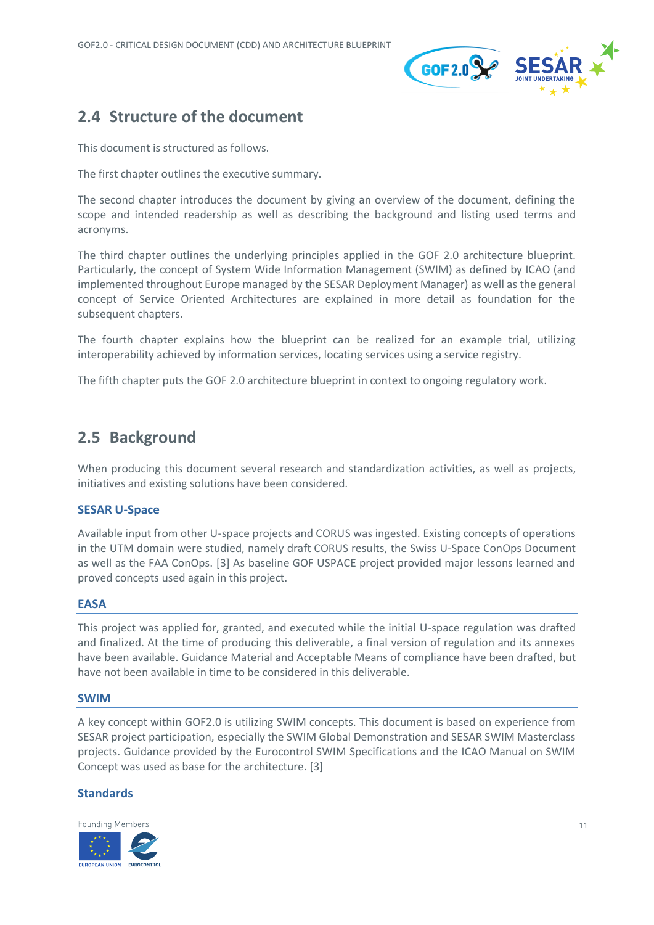

## <span id="page-10-0"></span>**2.4 Structure of the document**

This document is structured as follows.

The first chapter outlines the executive summary.

The second chapter introduces the document by giving an overview of the document, defining the scope and intended readership as well as describing the background and listing used terms and acronyms.

The third chapter outlines the underlying principles applied in the GOF 2.0 architecture blueprint. Particularly, the concept of System Wide Information Management (SWIM) as defined by ICAO (and implemented throughout Europe managed by the SESAR Deployment Manager) as well as the general concept of Service Oriented Architectures are explained in more detail as foundation for the subsequent chapters.

The fourth chapter explains how the blueprint can be realized for an example trial, utilizing interoperability achieved by information services, locating services using a service registry.

The fifth chapter puts the GOF 2.0 architecture blueprint in context to ongoing regulatory work.

### <span id="page-10-1"></span>**2.5 Background**

When producing this document several research and standardization activities, as well as projects, initiatives and existing solutions have been considered.

#### <span id="page-10-2"></span>**SESAR U-Space**

Available input from other U-space projects and CORUS was ingested. Existing concepts of operations in the UTM domain were studied, namely draft CORUS results, the Swiss U-Space ConOps Document as well as the FAA ConOps. [\[3\]](#page-29-3) As baseline GOF USPACE project provided major lessons learned and proved concepts used again in this project.

#### <span id="page-10-3"></span>**EASA**

This project was applied for, granted, and executed while the initial U-space regulation was drafted and finalized. At the time of producing this deliverable, a final version of regulation and its annexes have been available. Guidance Material and Acceptable Means of compliance have been drafted, but have not been available in time to be considered in this deliverable.

#### <span id="page-10-4"></span>**SWIM**

A key concept within GOF2.0 is utilizing SWIM concepts. This document is based on experience from SESAR project participation, especially the SWIM Global Demonstration and SESAR SWIM Masterclass projects. Guidance provided by the Eurocontrol SWIM Specifications and the ICAO Manual on SWIM Concept was used as base for the architecture. [\[3\]](#page-29-3)

#### <span id="page-10-5"></span>**Standards**

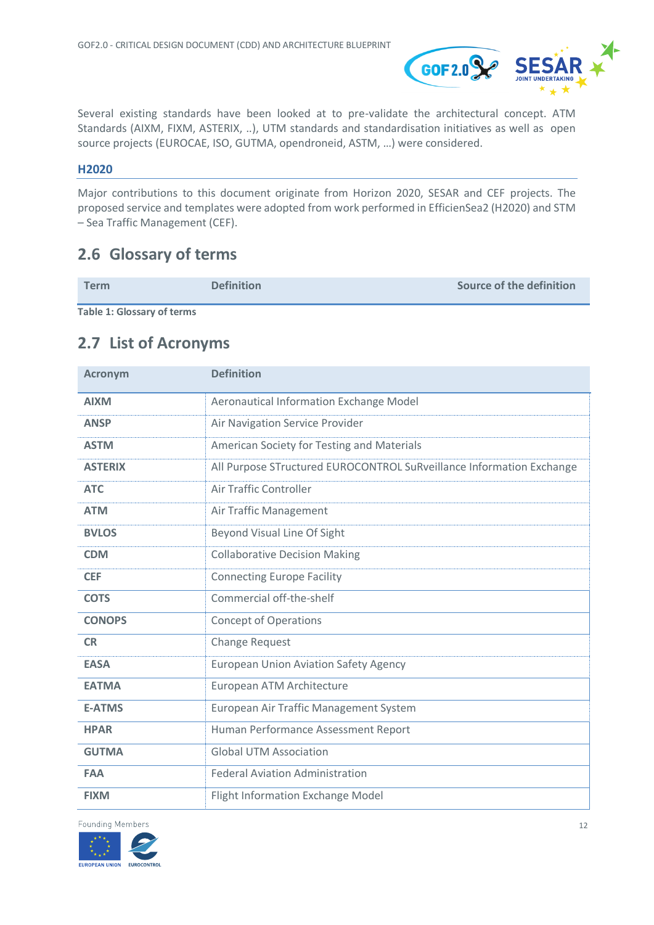

Several existing standards have been looked at to pre-validate the architectural concept. ATM Standards (AIXM, FIXM, ASTERIX, ..), UTM standards and standardisation initiatives as well as open source projects (EUROCAE, ISO, GUTMA, opendroneid, ASTM, …) were considered.

#### <span id="page-11-0"></span>**H2020**

Major contributions to this document originate from Horizon 2020, SESAR and CEF projects. The proposed service and templates were adopted from work performed in EfficienSea2 (H2020) and STM – Sea Traffic Management (CEF).

### <span id="page-11-1"></span>**2.6 Glossary of terms**

| <b>Term</b> | <b>Definition</b> | Source of the definition |
|-------------|-------------------|--------------------------|
|             |                   |                          |

<span id="page-11-3"></span>**Table 1: Glossary of terms**

### <span id="page-11-2"></span>**2.7 List of Acronyms**

| <b>Acronym</b> | <b>Definition</b>                                                    |
|----------------|----------------------------------------------------------------------|
| <b>AIXM</b>    | <b>Aeronautical Information Exchange Model</b>                       |
| <b>ANSP</b>    | Air Navigation Service Provider                                      |
| <b>ASTM</b>    | American Society for Testing and Materials                           |
| <b>ASTERIX</b> | All Purpose STructured EUROCONTROL SuRveillance Information Exchange |
| <b>ATC</b>     | <b>Air Traffic Controller</b>                                        |
| <b>ATM</b>     | Air Traffic Management                                               |
| <b>BVLOS</b>   | Beyond Visual Line Of Sight                                          |
| <b>CDM</b>     | <b>Collaborative Decision Making</b>                                 |
| <b>CEF</b>     | <b>Connecting Europe Facility</b>                                    |
| <b>COTS</b>    | Commercial off-the-shelf                                             |
| <b>CONOPS</b>  | <b>Concept of Operations</b>                                         |
| <b>CR</b>      | <b>Change Request</b>                                                |
| <b>EASA</b>    | <b>European Union Aviation Safety Agency</b>                         |
| <b>EATMA</b>   | European ATM Architecture                                            |
| <b>E-ATMS</b>  | European Air Traffic Management System                               |
| <b>HPAR</b>    | Human Performance Assessment Report                                  |
| <b>GUTMA</b>   | <b>Global UTM Association</b>                                        |
| <b>FAA</b>     | <b>Federal Aviation Administration</b>                               |
| <b>FIXM</b>    | <b>Flight Information Exchange Model</b>                             |

**Founding Members** 

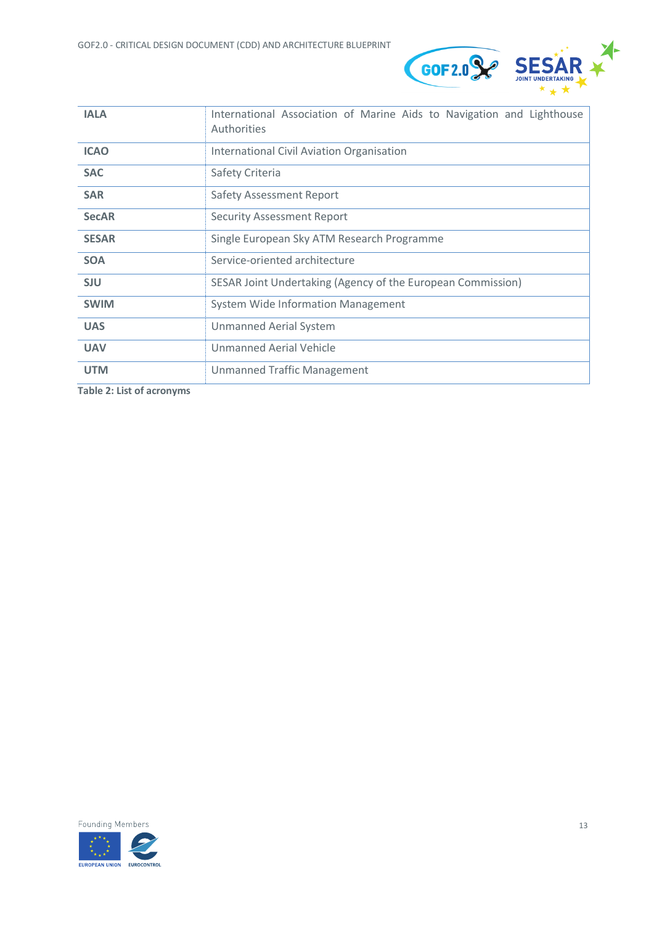

| <b>IALA</b>  | International Association of Marine Aids to Navigation and Lighthouse<br>Authorities |
|--------------|--------------------------------------------------------------------------------------|
| <b>ICAO</b>  | International Civil Aviation Organisation                                            |
| <b>SAC</b>   | Safety Criteria                                                                      |
| <b>SAR</b>   | <b>Safety Assessment Report</b>                                                      |
| <b>SecAR</b> | <b>Security Assessment Report</b>                                                    |
| <b>SESAR</b> | Single European Sky ATM Research Programme                                           |
| <b>SOA</b>   | Service-oriented architecture                                                        |
| <b>SJU</b>   | SESAR Joint Undertaking (Agency of the European Commission)                          |
| <b>SWIM</b>  | <b>System Wide Information Management</b>                                            |
| <b>UAS</b>   | <b>Unmanned Aerial System</b>                                                        |
| <b>UAV</b>   | Unmanned Aerial Vehicle                                                              |
| <b>UTM</b>   | <b>Unmanned Traffic Management</b>                                                   |

<span id="page-12-0"></span>**Table 2: List of acronyms**

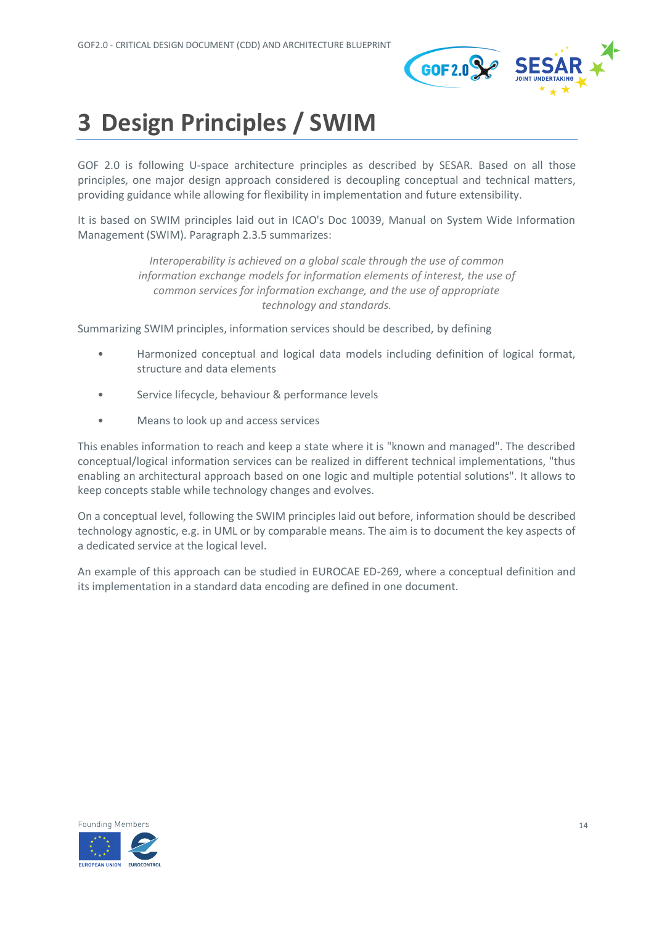

## <span id="page-13-0"></span>**3 Design Principles / SWIM**

GOF 2.0 is following U-space architecture principles as described by SESAR. Based on all those principles, one major design approach considered is decoupling conceptual and technical matters, providing guidance while allowing for flexibility in implementation and future extensibility.

It is based on SWIM principles laid out in ICAO's Doc 10039, Manual on System Wide Information Management (SWIM). Paragraph 2.3.5 summarizes:

> *Interoperability is achieved on a global scale through the use of common*  information exchange models for information elements of interest, the use of *common services for information exchange, and the use of appropriate technology and standards.*

Summarizing SWIM principles, information services should be described, by defining

- Harmonized conceptual and logical data models including definition of logical format, structure and data elements
- Service lifecycle, behaviour & performance levels
- Means to look up and access services

This enables information to reach and keep a state where it is "known and managed". The described conceptual/logical information services can be realized in different technical implementations, "thus enabling an architectural approach based on one logic and multiple potential solutions". It allows to keep concepts stable while technology changes and evolves.

On a conceptual level, following the SWIM principles laid out before, information should be described technology agnostic, e.g. in UML or by comparable means. The aim is to document the key aspects of a dedicated service at the logical level.

An example of this approach can be studied in EUROCAE ED-269, where a conceptual definition and its implementation in a standard data encoding are defined in one document.

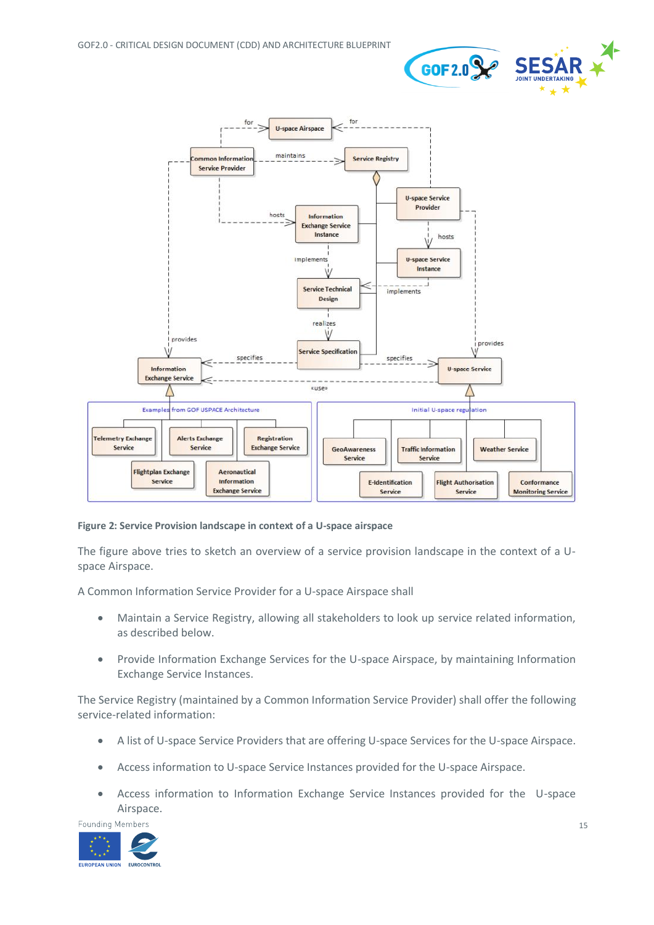



#### <span id="page-14-0"></span>**Figure 2: Service Provision landscape in context of a U-space airspace**

The figure above tries to sketch an overview of a service provision landscape in the context of a Uspace Airspace.

A Common Information Service Provider for a U-space Airspace shall

- Maintain a Service Registry, allowing all stakeholders to look up service related information, as described below.
- Provide Information Exchange Services for the U-space Airspace, by maintaining Information Exchange Service Instances.

The Service Registry (maintained by a Common Information Service Provider) shall offer the following service-related information:

- A list of U-space Service Providers that are offering U-space Services for the U-space Airspace.
- Access information to U-space Service Instances provided for the U-space Airspace.
- Access information to Information Exchange Service Instances provided for the U-space Airspace.

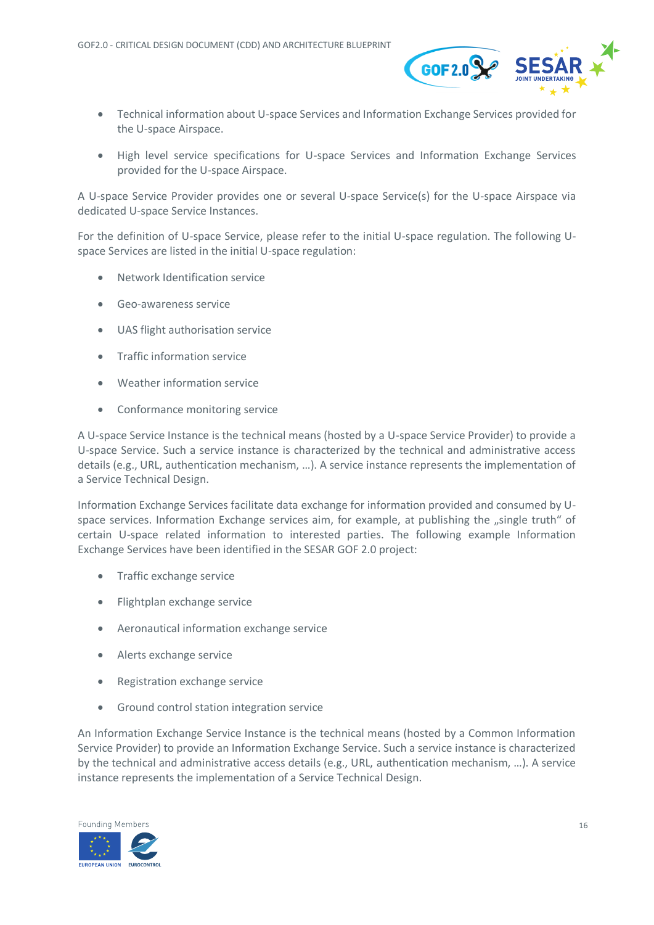

- Technical information about U-space Services and Information Exchange Services provided for the U-space Airspace.
- High level service specifications for U-space Services and Information Exchange Services provided for the U-space Airspace.

A U-space Service Provider provides one or several U-space Service(s) for the U-space Airspace via dedicated U-space Service Instances.

For the definition of U-space Service, please refer to the initial U-space regulation. The following Uspace Services are listed in the initial U-space regulation:

- Network Identification service
- Geo-awareness service
- UAS flight authorisation service
- Traffic information service
- Weather information service
- Conformance monitoring service

A U-space Service Instance is the technical means (hosted by a U-space Service Provider) to provide a U-space Service. Such a service instance is characterized by the technical and administrative access details (e.g., URL, authentication mechanism, …). A service instance represents the implementation of a Service Technical Design.

Information Exchange Services facilitate data exchange for information provided and consumed by Uspace services. Information Exchange services aim, for example, at publishing the "single truth" of certain U-space related information to interested parties. The following example Information Exchange Services have been identified in the SESAR GOF 2.0 project:

- Traffic exchange service
- Flightplan exchange service
- Aeronautical information exchange service
- Alerts exchange service
- Registration exchange service
- Ground control station integration service

An Information Exchange Service Instance is the technical means (hosted by a Common Information Service Provider) to provide an Information Exchange Service. Such a service instance is characterized by the technical and administrative access details (e.g., URL, authentication mechanism, …). A service instance represents the implementation of a Service Technical Design.

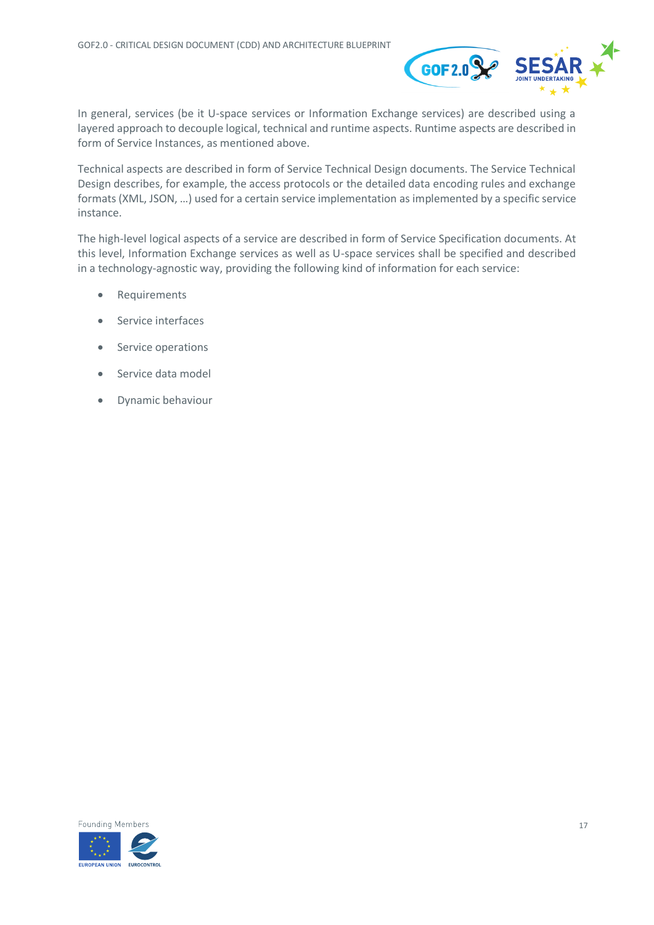

In general, services (be it U-space services or Information Exchange services) are described using a layered approach to decouple logical, technical and runtime aspects. Runtime aspects are described in form of Service Instances, as mentioned above.

Technical aspects are described in form of Service Technical Design documents. The Service Technical Design describes, for example, the access protocols or the detailed data encoding rules and exchange formats (XML, JSON, …) used for a certain service implementation as implemented by a specific service instance.

The high-level logical aspects of a service are described in form of Service Specification documents. At this level, Information Exchange services as well as U-space services shall be specified and described in a technology-agnostic way, providing the following kind of information for each service:

- Requirements
- Service interfaces
- Service operations
- Service data model
- Dynamic behaviour

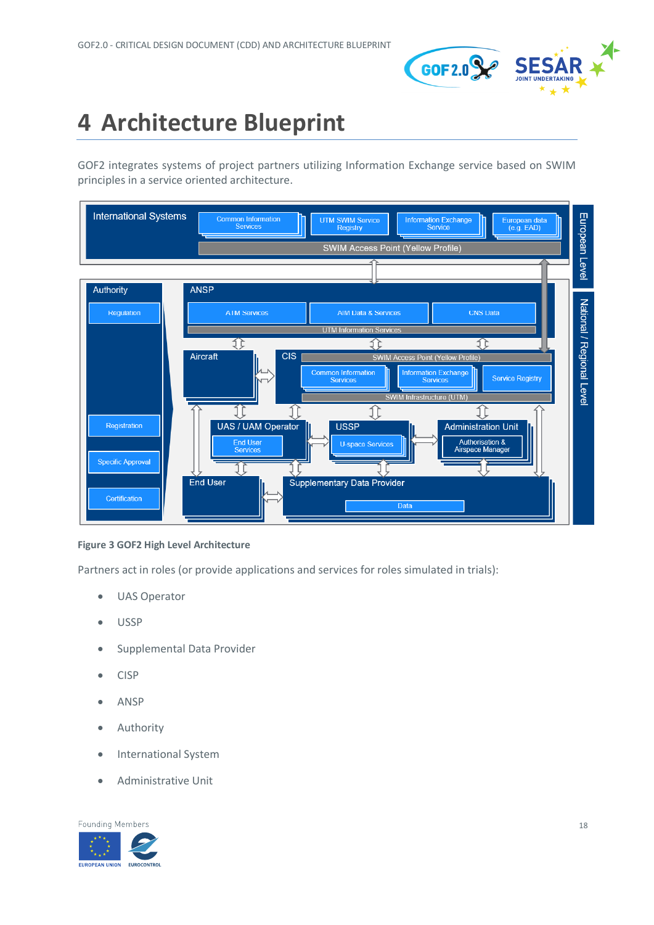

## <span id="page-17-0"></span>**4 Architecture Blueprint**

GOF2 integrates systems of project partners utilizing Information Exchange service based on SWIM principles in a service oriented architecture.



#### <span id="page-17-1"></span>**Figure 3 GOF2 High Level Architecture**

Partners act in roles (or provide applications and services for roles simulated in trials):

- UAS Operator
- USSP
- Supplemental Data Provider
- CISP
- ANSP
- Authority
- International System
- Administrative Unit

**Founding Members** 

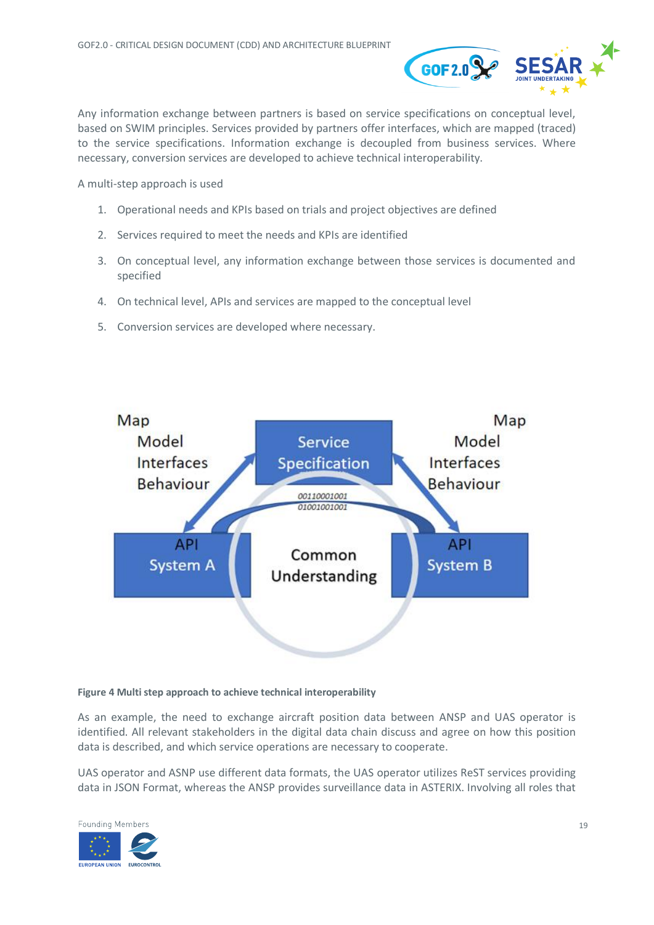

Any information exchange between partners is based on service specifications on conceptual level, based on SWIM principles. Services provided by partners offer interfaces, which are mapped (traced) to the service specifications. Information exchange is decoupled from business services. Where necessary, conversion services are developed to achieve technical interoperability.

A multi-step approach is used

- 1. Operational needs and KPIs based on trials and project objectives are defined
- 2. Services required to meet the needs and KPIs are identified
- 3. On conceptual level, any information exchange between those services is documented and specified
- 4. On technical level, APIs and services are mapped to the conceptual level
- 5. Conversion services are developed where necessary.



#### <span id="page-18-0"></span>**Figure 4 Multi step approach to achieve technical interoperability**

As an example, the need to exchange aircraft position data between ANSP and UAS operator is identified. All relevant stakeholders in the digital data chain discuss and agree on how this position data is described, and which service operations are necessary to cooperate.

UAS operator and ASNP use different data formats, the UAS operator utilizes ReST services providing data in JSON Format, whereas the ANSP provides surveillance data in ASTERIX. Involving all roles that

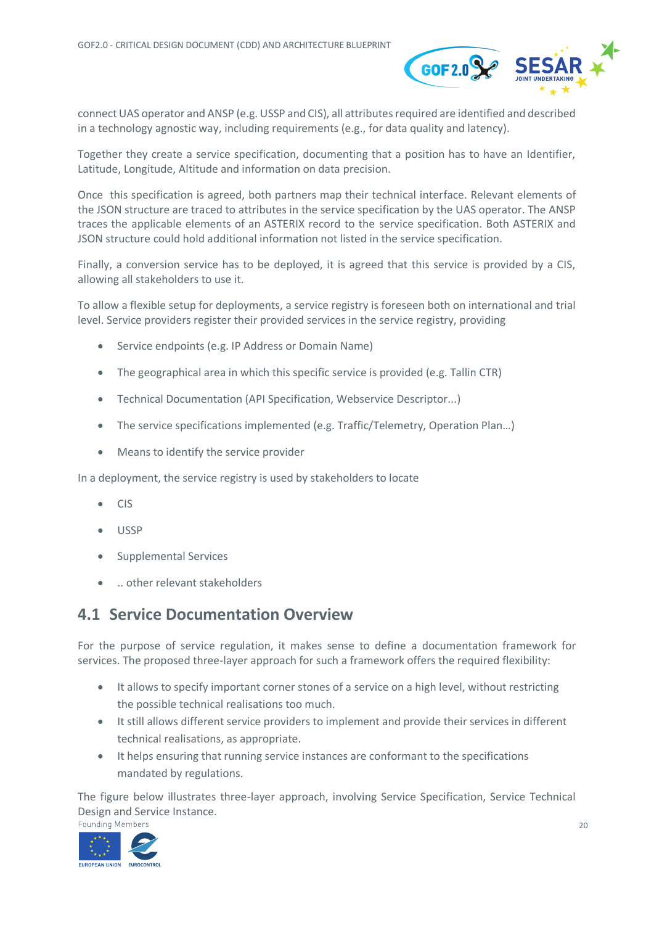

connect UAS operator and ANSP (e.g. USSP and CIS), all attributes required are identified and described in a technology agnostic way, including requirements (e.g., for data quality and latency).

Together they create a service specification, documenting that a position has to have an Identifier, Latitude, Longitude, Altitude and information on data precision.

Once this specification is agreed, both partners map their technical interface. Relevant elements of the JSON structure are traced to attributes in the service specification by the UAS operator. The ANSP traces the applicable elements of an ASTERIX record to the service specification. Both ASTERIX and JSON structure could hold additional information not listed in the service specification.

Finally, a conversion service has to be deployed, it is agreed that this service is provided by a CIS, allowing all stakeholders to use it.

To allow a flexible setup for deployments, a service registry is foreseen both on international and trial level. Service providers register their provided services in the service registry, providing

- Service endpoints (e.g. IP Address or Domain Name)
- The geographical area in which this specific service is provided (e.g. Tallin CTR)
- Technical Documentation (API Specification, Webservice Descriptor...)
- The service specifications implemented (e.g. Traffic/Telemetry, Operation Plan...)
- Means to identify the service provider

In a deployment, the service registry is used by stakeholders to locate

- CIS
- USSP
- Supplemental Services
- .. other relevant stakeholders

### <span id="page-19-0"></span>**4.1 Service Documentation Overview**

For the purpose of service regulation, it makes sense to define a documentation framework for services. The proposed three-layer approach for such a framework offers the required flexibility:

- It allows to specify important corner stones of a service on a high level, without restricting the possible technical realisations too much.
- It still allows different service providers to implement and provide their services in different technical realisations, as appropriate.
- It helps ensuring that running service instances are conformant to the specifications mandated by regulations.

The figure below illustrates three-layer approach, involving Service Specification, Service Technical **Design and Service Instance.**<br>Founding Members

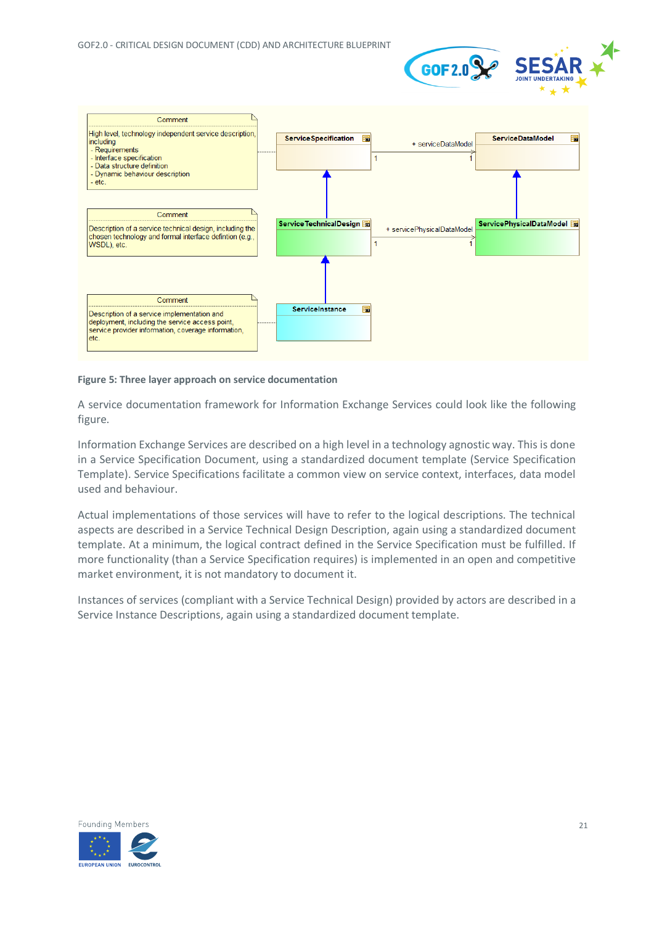



#### <span id="page-20-0"></span>**Figure 5: Three layer approach on service documentation**

A service documentation framework for Information Exchange Services could look like the following figure.

Information Exchange Services are described on a high level in a technology agnostic way. This is done in a Service Specification Document, using a standardized document template (Service Specification Template). Service Specifications facilitate a common view on service context, interfaces, data model used and behaviour.

Actual implementations of those services will have to refer to the logical descriptions. The technical aspects are described in a Service Technical Design Description, again using a standardized document template. At a minimum, the logical contract defined in the Service Specification must be fulfilled. If more functionality (than a Service Specification requires) is implemented in an open and competitive market environment, it is not mandatory to document it.

Instances of services (compliant with a Service Technical Design) provided by actors are described in a Service Instance Descriptions, again using a standardized document template.

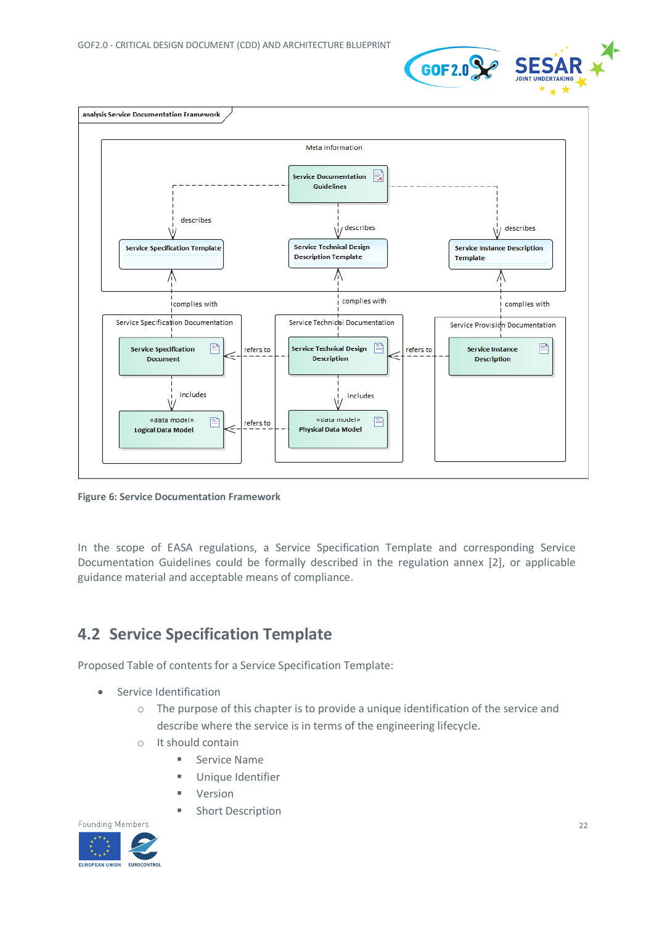



<span id="page-21-1"></span>**Figure 6: Service Documentation Framework**

In the scope of EASA regulations, a Service Specification Template and corresponding Service Documentation Guidelines could be formally described in the regulation annex [\[2\],](#page-29-2) or applicable guidance material and acceptable means of compliance.

## <span id="page-21-0"></span>**4.2 Service Specification Template**

Proposed Table of contents for a Service Specification Template:

- Service Identification
	- o The purpose of this chapter is to provide a unique identification of the service and describe where the service is in terms of the engineering lifecycle.
	- o It should contain
		- Service Name
		- Unique Identifier
		- Version
		- Short Description

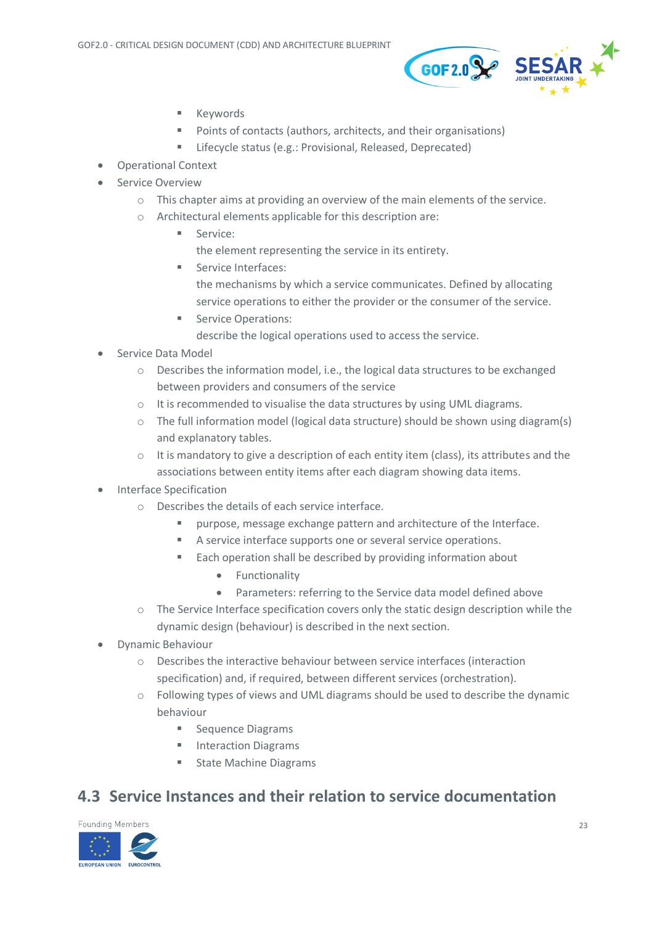

- Keywords
- Points of contacts (authors, architects, and their organisations)
- Lifecycle status (e.g.: Provisional, Released, Deprecated)
- Operational Context
- **Service Overview** 
	- $\circ$  This chapter aims at providing an overview of the main elements of the service.
	- o Architectural elements applicable for this description are:
		- Service:
			- the element representing the service in its entirety.
		- Service Interfaces: the mechanisms by which a service communicates. Defined by allocating service operations to either the provider or the consumer of the service.
		- Service Operations: describe the logical operations used to access the service.
- Service Data Model
	- $\circ$  Describes the information model, i.e., the logical data structures to be exchanged between providers and consumers of the service
	- $\circ$  It is recommended to visualise the data structures by using UML diagrams.
	- o The full information model (logical data structure) should be shown using diagram(s) and explanatory tables.
	- $\circ$  It is mandatory to give a description of each entity item (class), its attributes and the associations between entity items after each diagram showing data items.
- Interface Specification
	- o Describes the details of each service interface.
		- purpose, message exchange pattern and architecture of the Interface.
		- A service interface supports one or several service operations.
		- Each operation shall be described by providing information about
			- Functionality
			- Parameters: referring to the Service data model defined above
	- $\circ$  The Service Interface specification covers only the static design description while the dynamic design (behaviour) is described in the next section.
- Dynamic Behaviour
	- o Describes the interactive behaviour between service interfaces (interaction specification) and, if required, between different services (orchestration).
	- o Following types of views and UML diagrams should be used to describe the dynamic behaviour
		- Sequence Diagrams
		- Interaction Diagrams
		- **State Machine Diagrams**

## <span id="page-22-0"></span>**4.3 Service Instances and their relation to service documentation**

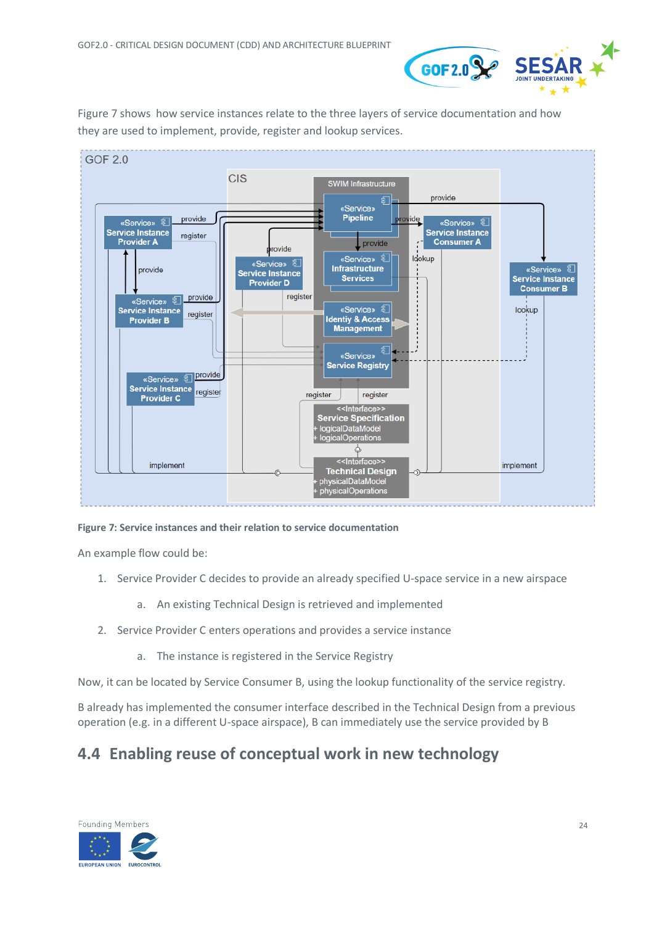

[Figure 7](#page-23-1) shows how service instances relate to the three layers of service documentation and how they are used to implement, provide, register and lookup services.



<span id="page-23-1"></span>**Figure 7: Service instances and their relation to service documentation**

An example flow could be:

- 1. Service Provider C decides to provide an already specified U-space service in a new airspace
	- a. An existing Technical Design is retrieved and implemented
- 2. Service Provider C enters operations and provides a service instance
	- a. The instance is registered in the Service Registry

Now, it can be located by Service Consumer B, using the lookup functionality of the service registry.

B already has implemented the consumer interface described in the Technical Design from a previous operation (e.g. in a different U-space airspace), B can immediately use the service provided by B

### <span id="page-23-0"></span>**4.4 Enabling reuse of conceptual work in new technology**

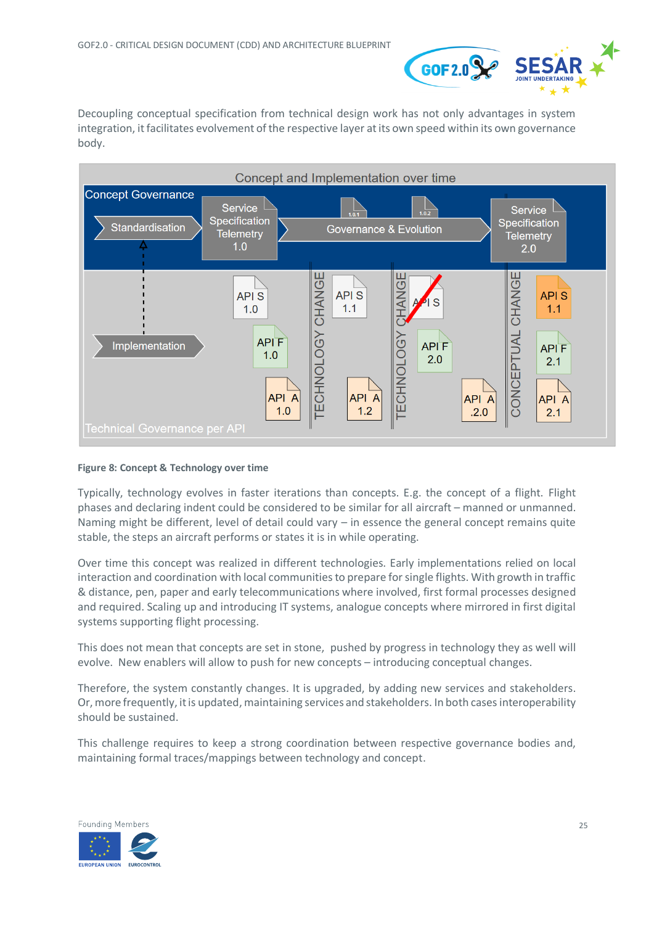

Decoupling conceptual specification from technical design work has not only advantages in system integration, it facilitates evolvement of the respective layer at its own speed within its own governance body.



#### <span id="page-24-0"></span>**Figure 8: Concept & Technology over time**

Typically, technology evolves in faster iterations than concepts. E.g. the concept of a flight. Flight phases and declaring indent could be considered to be similar for all aircraft – manned or unmanned. Naming might be different, level of detail could vary – in essence the general concept remains quite stable, the steps an aircraft performs or states it is in while operating.

Over time this concept was realized in different technologies. Early implementations relied on local interaction and coordination with local communities to prepare for single flights. With growth in traffic & distance, pen, paper and early telecommunications where involved, first formal processes designed and required. Scaling up and introducing IT systems, analogue concepts where mirrored in first digital systems supporting flight processing.

This does not mean that concepts are set in stone, pushed by progress in technology they as well will evolve. New enablers will allow to push for new concepts – introducing conceptual changes.

Therefore, the system constantly changes. It is upgraded, by adding new services and stakeholders. Or, more frequently, it is updated, maintaining services and stakeholders. In both cases interoperability should be sustained.

This challenge requires to keep a strong coordination between respective governance bodies and, maintaining formal traces/mappings between technology and concept.

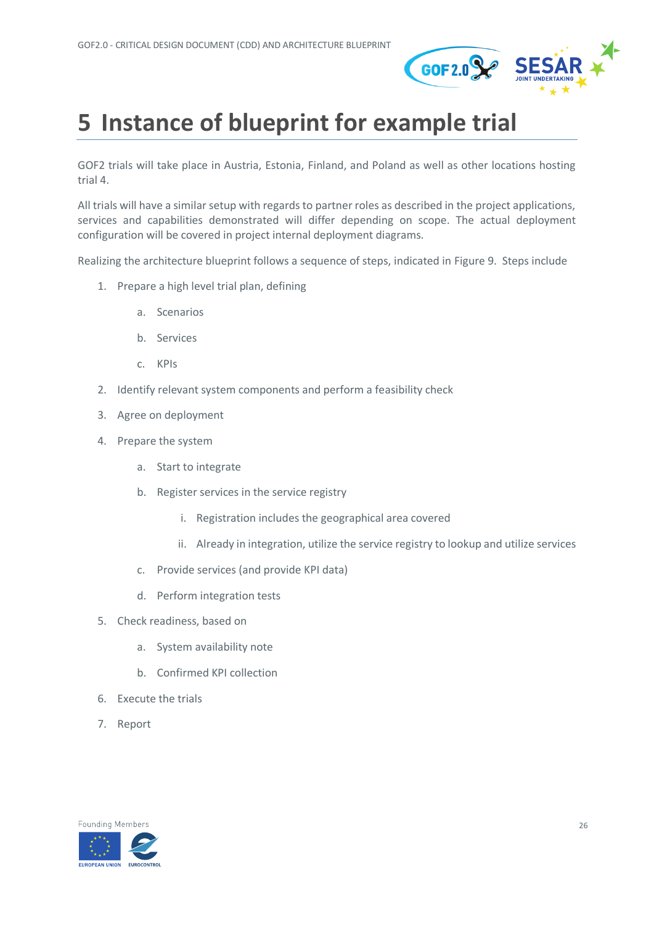

## <span id="page-25-0"></span>**5 Instance of blueprint for example trial**

GOF2 trials will take place in Austria, Estonia, Finland, and Poland as well as other locations hosting trial 4.

All trials will have a similar setup with regards to partner roles as described in the project applications, services and capabilities demonstrated will differ depending on scope. The actual deployment configuration will be covered in project internal deployment diagrams.

Realizing the architecture blueprint follows a sequence of steps, indicated in [Figure 9.](#page-26-0) Steps include

- 1. Prepare a high level trial plan, defining
	- a. Scenarios
	- b. Services
	- c. KPIs
- 2. Identify relevant system components and perform a feasibility check
- 3. Agree on deployment
- 4. Prepare the system
	- a. Start to integrate
	- b. Register services in the service registry
		- i. Registration includes the geographical area covered
		- ii. Already in integration, utilize the service registry to lookup and utilize services
	- c. Provide services (and provide KPI data)
	- d. Perform integration tests
- 5. Check readiness, based on
	- a. System availability note
	- b. Confirmed KPI collection
- 6. Execute the trials
- 7. Report

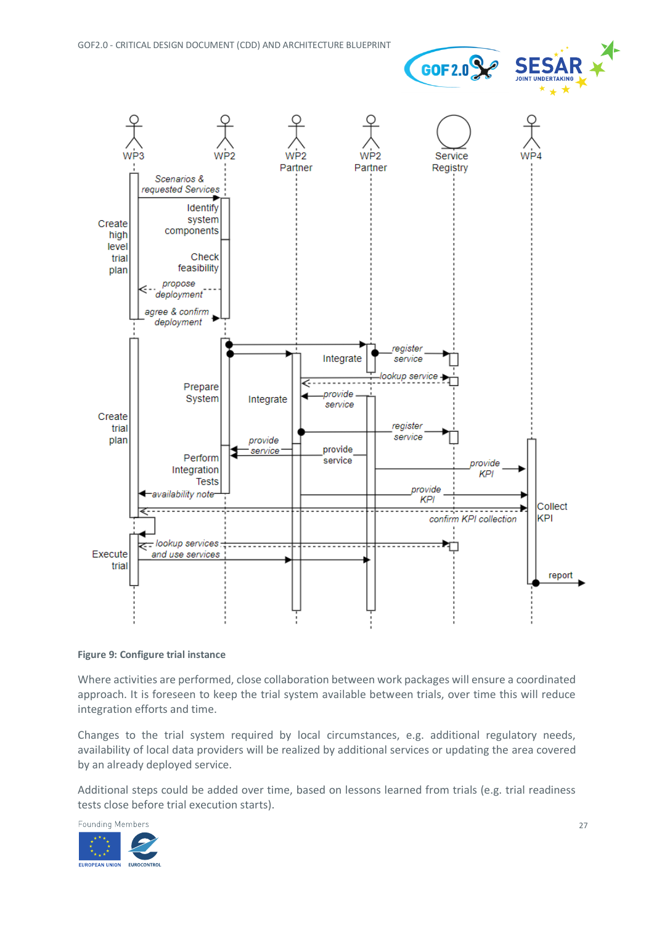



<span id="page-26-0"></span>**Figure 9: Configure trial instance**

Where activities are performed, close collaboration between work packages will ensure a coordinated approach. It is foreseen to keep the trial system available between trials, over time this will reduce integration efforts and time.

Changes to the trial system required by local circumstances, e.g. additional regulatory needs, availability of local data providers will be realized by additional services or updating the area covered by an already deployed service.

Additional steps could be added over time, based on lessons learned from trials (e.g. trial readiness tests close before trial execution starts).

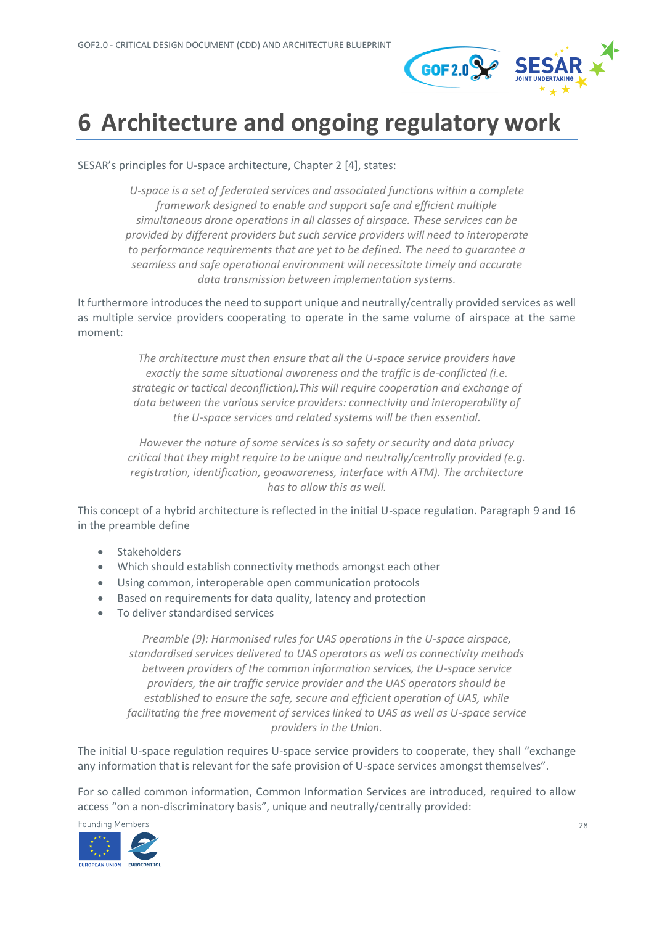

## <span id="page-27-0"></span>**6 Architecture and ongoing regulatory work**

SESAR's principles for U-space architecture, Chapter 2 [\[4\],](#page-29-4) states:

*U-space is a set of federated services and associated functions within a complete framework designed to enable and support safe and efficient multiple simultaneous drone operations in all classes of airspace. These services can be provided by different providers but such service providers will need to interoperate to performance requirements that are yet to be defined. The need to guarantee a seamless and safe operational environment will necessitate timely and accurate data transmission between implementation systems.*

It furthermore introduces the need to support unique and neutrally/centrally provided services as well as multiple service providers cooperating to operate in the same volume of airspace at the same moment:

> *The architecture must then ensure that all the U-space service providers have exactly the same situational awareness and the traffic is de-conflicted (i.e. strategic or tactical deconfliction).This will require cooperation and exchange of data between the various service providers: connectivity and interoperability of the U-space services and related systems will be then essential.*

> *However the nature of some services is so safety or security and data privacy critical that they might require to be unique and neutrally/centrally provided (e.g. registration, identification, geoawareness, interface with ATM). The architecture has to allow this as well.*

This concept of a hybrid architecture is reflected in the initial U-space regulation. Paragraph 9 and 16 in the preamble define

- **Stakeholders**
- Which should establish connectivity methods amongst each other
- Using common, interoperable open communication protocols
- Based on requirements for data quality, latency and protection
- To deliver standardised services

*Preamble (9): Harmonised rules for UAS operations in the U-space airspace, standardised services delivered to UAS operators as well as connectivity methods between providers of the common information services, the U-space service providers, the air traffic service provider and the UAS operators should be established to ensure the safe, secure and efficient operation of UAS, while facilitating the free movement of services linked to UAS as well as U-space service providers in the Union.*

The initial U-space regulation requires U-space service providers to cooperate, they shall "exchange any information that is relevant for the safe provision of U-space services amongst themselves".

For so called common information, Common Information Services are introduced, required to allow access "on a non-discriminatory basis", unique and neutrally/centrally provided:

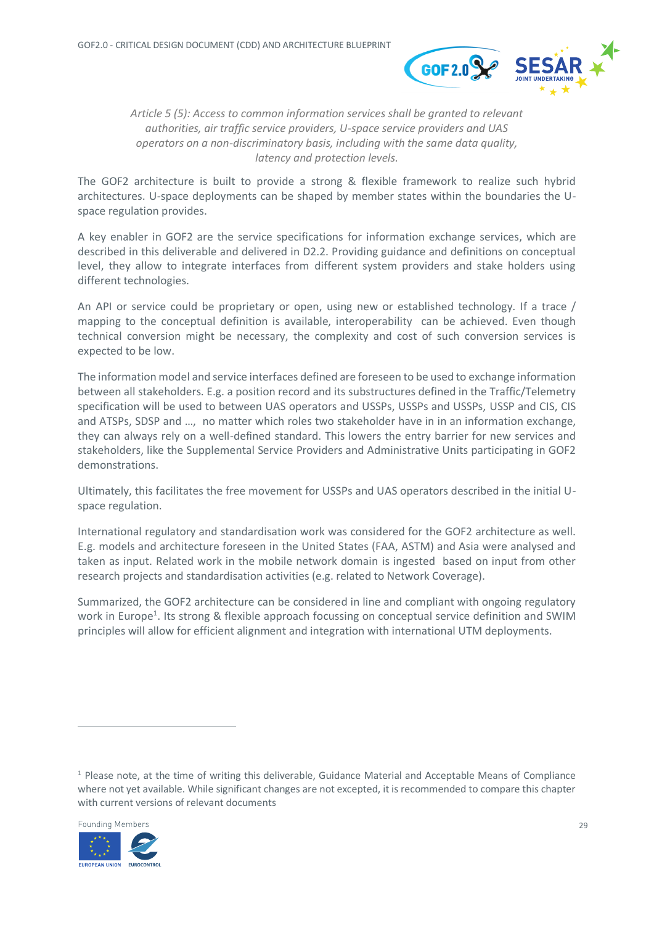

*Article 5 (5): Access to common information services shall be granted to relevant authorities, air traffic service providers, U-space service providers and UAS operators on a non-discriminatory basis, including with the same data quality, latency and protection levels.*

The GOF2 architecture is built to provide a strong & flexible framework to realize such hybrid architectures. U-space deployments can be shaped by member states within the boundaries the Uspace regulation provides.

A key enabler in GOF2 are the service specifications for information exchange services, which are described in this deliverable and delivered in D2.2. Providing guidance and definitions on conceptual level, they allow to integrate interfaces from different system providers and stake holders using different technologies.

An API or service could be proprietary or open, using new or established technology. If a trace / mapping to the conceptual definition is available, interoperability can be achieved. Even though technical conversion might be necessary, the complexity and cost of such conversion services is expected to be low.

The information model and service interfaces defined are foreseen to be used to exchange information between all stakeholders. E.g. a position record and its substructures defined in the Traffic/Telemetry specification will be used to between UAS operators and USSPs, USSPs and USSPs, USSP and CIS, CIS and ATSPs, SDSP and …, no matter which roles two stakeholder have in in an information exchange, they can always rely on a well-defined standard. This lowers the entry barrier for new services and stakeholders, like the Supplemental Service Providers and Administrative Units participating in GOF2 demonstrations.

Ultimately, this facilitates the free movement for USSPs and UAS operators described in the initial Uspace regulation.

International regulatory and standardisation work was considered for the GOF2 architecture as well. E.g. models and architecture foreseen in the United States (FAA, ASTM) and Asia were analysed and taken as input. Related work in the mobile network domain is ingested based on input from other research projects and standardisation activities (e.g. related to Network Coverage).

Summarized, the GOF2 architecture can be considered in line and compliant with ongoing regulatory work in Europe<sup>1</sup>. Its strong & flexible approach focussing on conceptual service definition and SWIM principles will allow for efficient alignment and integration with international UTM deployments.

 $1$  Please note, at the time of writing this deliverable, Guidance Material and Acceptable Means of Compliance where not yet available. While significant changes are not excepted, it is recommended to compare this chapter with current versions of relevant documents